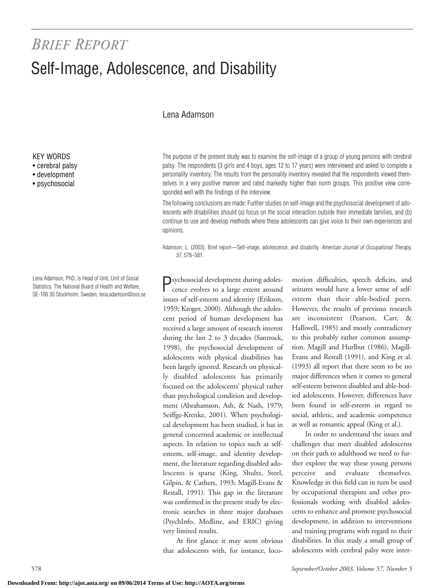# *BRIEF REPORT* Self-Image, Adolescence, and Disability

## Lena Adamson

The purpose of the present study was to examine the self-image of a group of young persons with cerebral palsy. The respondents (3 girls and 4 boys, ages 12 to 17 years) were interviewed and asked to complete a personality inventory. The results from the personality inventory revealed that the respondents viewed themselves in a very positive manner and rated markedly higher than norm groups. This positive view corresponded well with the findings of the interview.

The following conclusions are made: Further studies on self-image and the psychosocial development of adolescents with disabilities should (a) focus on the social interaction outside their immediate families, and (b) continue to use and develop methods where these adolescents can give voice to their own experiences and opinions.

Adamson, L. (2003). Brief report—Self-image, adolescence, and disability. *American Journal of Occupational Therapy, 57,* 578–581.

Psychosocial development during adolescence evolves to a large extent around issues of self-esteem and identity (Erikson, 1959; Kroger, 2000). Although the adolescent period of human development has received a large amount of research interest during the last 2 to 3 decades (Santrock, 1998), the psychosocial development of adolescents with physical disabilities has been largely ignored. Research on physically disabled adolescents has primarily focused on the adolescents' physical rather than psychological condition and development (Abrahamson, Ash, & Nash, 1979; Seiffge-Krenke, 2001). When psychological development has been studied, it has in general concerned academic or intellectual aspects. In relation to topics such as selfesteem, self-image, and identity development, the literature regarding disabled adolescents is sparse (King, Shultz, Steel, Gilpin, & Cathers, 1993; Magill-Evans & Restall, 1991). This gap in the literature was confirmed in the present study by electronic searches in three major databases (PsychInfo, Medline, and ERIC) giving very limited results.

At first glance it may seem obvious that adolescents with, for instance, loco-

motion difficulties, speech deficits, and seizures would have a lower sense of selfesteem than their able-bodied peers. However, the results of previous research are inconsistent (Pearson, Carr, & Halliwell, 1985) and mostly contradictory to this probably rather common assumption. Magill and Hurlbut (1986), Magill-Evans and Restall (1991), and King et al. (1993) all report that there seem to be no major differences when it comes to general self-esteem between disabled and able-bodied adolescents. However, differences have been found in self-esteem in regard to social, athletic, and academic competence as well as romantic appeal (King et al.).

In order to understand the issues and challenges that meet disabled adolescents on their path to adulthood we need to further explore the way these young persons perceive and evaluate themselves. Knowledge in this field can in turn be used by occupational therapists and other professionals working with disabled adolescents to enhance and promote psychosocial development, in addition to interventions and training programs with regard to their disabilities. In this study a small group of adolescents with cerebral palsy were inter-

KEY WORDS

- cerebral palsy
- development
- psychosocial

Lena Adamson, PhD, is Head of Unit, Unit of Social Statistics, The National Board of Health and Welfare, SE-106 30 Stockholm, Sweden; lena.adamson@sos.se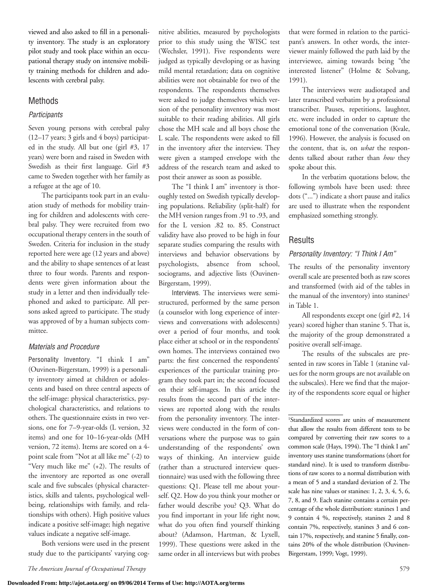viewed and also asked to fill in a personality inventory. The study is an exploratory pilot study and took place within an occupational therapy study on intensive mobility training methods for children and adolescents with cerebral palsy.

## Methods

#### *Participants*

Seven young persons with cerebral palsy (12–17 years; 3 girls and 4 boys) participated in the study. All but one (girl #3, 17 years) were born and raised in Sweden with Swedish as their first language. Girl #3 came to Sweden together with her family as a refugee at the age of 10.

The participants took part in an evaluation study of methods for mobility training for children and adolescents with cerebral palsy. They were recruited from two occupational therapy centers in the south of Sweden. Criteria for inclusion in the study reported here were age (12 years and above) and the ability to shape sentences of at least three to four words. Parents and respondents were given information about the study in a letter and then individually telephoned and asked to participate. All persons asked agreed to participate. The study was approved of by a human subjects committee.

#### *Materials and Procedure*

Personality Inventory. "I think I am" (Ouvinen-Birgerstam, 1999) is a personality inventory aimed at children or adolescents and based on three central aspects of the self-image: physical characteristics, psychological characteristics, and relations to others. The questionnaire exists in two versions, one for 7–9-year-olds (L version, 32 items) and one for 10–16-year-olds (MH version, 72 items). Items are scored on a 4 point scale from "Not at all like me" (-2) to "Very much like me" (+2). The results of the inventory are reported as one overall scale and five subscales (physical characteristics, skills and talents, psychological wellbeing, relationships with family, and relationships with others). High positive values indicate a positive self-image; high negative values indicate a negative self-image.

Both versions were used in the present study due to the participants' varying cognitive abilities, measured by psychologists prior to this study using the WISC test (Wechsler, 1991). Five respondents were judged as typically developing or as having mild mental retardation; data on cognitive abilities were not obtainable for two of the respondents. The respondents themselves were asked to judge themselves which version of the personality inventory was most suitable to their reading abilities. All girls chose the MH scale and all boys chose the L scale. The respondents were asked to fill in the inventory after the interview. They were given a stamped envelope with the address of the research team and asked to post their answer as soon as possible.

The "I think I am" inventory is thoroughly tested on Swedish typically developing populations. Reliability (split-half) for the MH version ranges from .91 to .93, and for the L version .82 to. 85. Construct validity have also proved to be high in four separate studies comparing the results with interviews and behavior observations by psychologists, absence from school, sociograms, and adjective lists (Ouvinen-Birgerstam, 1999).

Interviews. The interviews were semistructured, performed by the same person (a counselor with long experience of interviews and conversations with adolescents) over a period of four months, and took place either at school or in the respondents' own homes. The interviews contained two parts: the first concerned the respondents' experiences of the particular training program they took part in; the second focused on their self-images. In this article the results from the second part of the interviews are reported along with the results from the personality inventory. The interviews were conducted in the form of conversations where the purpose was to gain understanding of the respondents' own ways of thinking. An interview guide (rather than a structured interview questionnaire) was used with the following three questions: Q1. Please tell me about yourself. Q2. How do you think your mother or father would describe you? Q3. What do you find important in your life right now, what do you often find yourself thinking about? (Adamson, Hartman, & Lyxell, 1999). These questions were asked in the same order in all interviews but with probes

that were formed in relation to the participant's answers. In other words, the interviewer mainly followed the path laid by the interviewee, aiming towards being "the interested listener" (Holme & Solvang, 1991).

The interviews were audiotaped and later transcribed verbatim by a professional transcriber. Pauses, repetitions, laughter, etc. were included in order to capture the emotional tone of the conversation (Kvale, 1996). However, the analysis is focused on the content, that is, on *what* the respondents talked about rather than *how* they spoke about this.

In the verbatim quotations below, the following symbols have been used: three dots ("...") indicate a short pause and italics are used to illustrate when the respondent emphasized something strongly.

## **Results**

### *Personality Inventory: "I Think I Am"*

The results of the personality inventory overall scale are presented both as raw scores and transformed (with aid of the tables in the manual of the inventory) into stanines<sup>1</sup> in Table 1.

All respondents except one (girl #2, 14 years) scored higher than stanine 5. That is, the majority of the group demonstrated a positive overall self-image.

The results of the subscales are presented in raw scores in Table 1 (stanine values for the norm groups are not available on the subscales). Here we find that the majority of the respondents score equal or higher

<sup>1</sup>Standardized scores are units of measurement that allow the results from different tests to be compared by converting their raw scores to a common scale (Hays, 1994). The "I think I am" inventory uses stanine transformations (short for standard nine). It is used to transform distributions of raw scores to a normal distribution with a mean of 5 and a standard deviation of 2. The scale has nine values or stanines: 1, 2, 3, 4, 5, 6, 7, 8, and 9. Each stanine contains a certain percentage of the whole distribution: stanines 1 and 9 contain 4 %, respectively, stanines 2 and 8 contain 7%, respectively, stanines 3 and 6 contain 17%, respectively, and stanine 5 finally, contains 20% of the whole distribution (Ouvinen-Birgerstam, 1999; Vogt, 1999).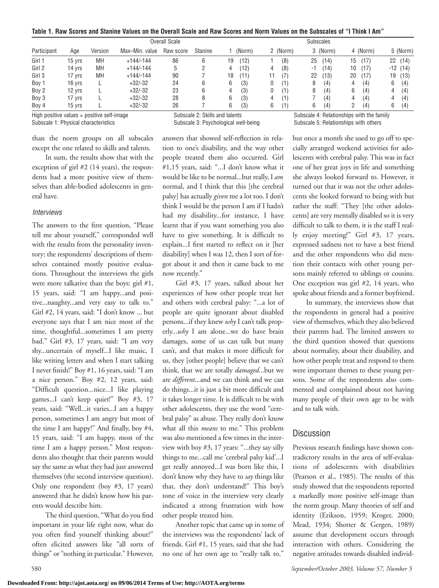**Table 1. Raw Scores and Stanine Values on the Overall Scale and Raw Scores and Norm Values on the Subscales of "I Think I Am"**

| Participant |        |         | Overall Scale  |           |                | <b>Subscales</b> |          |             |           |            |
|-------------|--------|---------|----------------|-----------|----------------|------------------|----------|-------------|-----------|------------|
|             | Age    | Version | Max-Min. value | Raw score | <b>Stanine</b> | (Norm)           | 2 (Norm) | 3 (Norm)    | 4 (Norm)  | 5 (Norm)   |
| Girl 1      | 15 yrs | MH      | $+144/-144$    | 86        | b              | (12)<br>19       | (8)      | (14)<br>25  | 17<br>15  | (14)<br>22 |
| Girl 2      | 14 yrs | MH      | $+144/-144$    | ხ         |                | (12)<br>4        | (8)<br>4 | (14)<br>- 1 | '17<br>10 | $-12(14)$  |
| Girl 3      | 17 vrs | MH      | $+144/-144$    | 90        |                | 18<br>(11)       | (7)      | (13)<br>22  | 20<br>17  | (13)<br>19 |
| Boy 1       | 16 yrs |         | $+32/-32$      | 24        | b              | (3)<br>6         | (1)      | (4)<br>8    | (4)<br>4  | 6<br>(4)   |
| Boy 2       | 12 yrs |         | $+32/-32$      | 23        | 6              | (3)<br>4         | (1)      | (4)<br>8    | (4)<br>6  | (4)<br>4   |
| Boy 3       | 17 yrs |         | $+32/-32$      | 28        | 8              | (3)<br>6         | (1)      | (4)         | (4)       | (4)<br>4   |
| Boy 4       | 15 yrs |         | $+32/-32$      | 26        |                | (3)<br>6         | (1)<br>b | (4)<br>6    | (4)       | (4)<br>6   |

than the norm groups on all subscales except the one related to skills and talents.

In sum, the results show that with the exception of girl #2 (14 years), the respondents had a more positive view of themselves than able-bodied adolescents in general have.

#### *Interviews*

The answers to the first question, "Please tell me about yourself," corresponded well with the results from the personality inventory; the respondents' descriptions of themselves contained mostly positive evaluations. Throughout the interviews the girls were more talkative than the boys: girl #1, 15 years, said: "I am happy...and positive...naughty...and very easy to talk to." Girl #2, 14 years, said: "I don't know ... but everyone says that I am nice most of the time, thoughtful...sometimes I am pretty bad." Girl #3, 17 years, said: "I am very shy...uncertain of myself...I like music, I like writing letters and when I start talking I never finish!" Boy #1, 16 years, said: "I am a nice person." Boy #2, 12 years, said: "Difficult question...nice...I like playing games...I can't keep quiet!" Boy #3, 17 years, said: "Well...it varies...I am a happy person, sometimes I am angry but most of the time I am happy!" And finally, boy #4, 15 years, said: "I am happy, most of the time I am a happy person." Most respondents also thought that their parents would say the same as what they had just answered themselves (the second interview question). Only one respondent (boy #3, 17 years) answered that he didn't know how his parents would describe him.

The third question, "What do you find important in your life right now, what do you often find yourself thinking about?" often elicited answers like "all sorts of things" or "nothing in particular." However,

answers that showed self-reflection in relation to one's disability, and the way other people treated them also occurred. Girl #1,15 years, said: "...I don't know what it would be like to be normal...but really, I *am* normal, and I think that this [the cerebral palsy] has actually *given* me a lot too. I don't think I would be the person I am if I hadn't had my disability...for instance, I have learnt that if you want something you also have to give something. It is difficult to explain...I first started to reflect on it [her disability] when I was 12, then I sort of forgot about it and then it came back to me now recently."

Girl #3, 17 years, talked about her experiences of how other people treat her and others with cerebral palsy: "...a lot of people are quite ignorant about disabled persons...if they knew *why* I can't talk properly...*why* I am alone...we do have brain damages, some of us can talk but many can't, and that makes it more difficult for us, they [other people] believe that we can't think, that we are totally *damaged*...but we are *different*...and we can think and we can do things...it is just a bit more difficult and it takes longer time. It is difficult to be with other adolescents, they use the word "cerebral palsy" as abuse. They really don't know what all this *means* to me." This problem was also mentioned a few times in the interview with boy #3, 17 years: "...they say silly things to me...call me 'cerebral palsy kid'...I get really annoyed...I was born like this, I don't know why they have to *say* things like that, they don't understand!" This boy's tone of voice in the interview very clearly indicated a strong frustration with how other people treated him.

Another topic that came up in some of the interviews was the respondents' lack of friends. Girl #1, 15 years, said that she had no one of her own age to "really talk to,"

High positive values = positive self-image  $\qquad \qquad$  Subscale 2: Skills and talents  $\qquad \qquad$  Subscale 4: Relationships with the family  $\qquad$  Subscale 5: Relationships with others  $\qquad \qquad$  Subscale 5: Relationships with othe Subscale 5: Relationships with others

> but once a month she used to go off to specially arranged weekend activities for adolescents with cerebral palsy. This was in fact one of her great joys in life and something she always looked forward to. However, it turned out that it was not the other adolescents she looked forward to being with but rather the staff: "They [the other adolescents] are very mentally disabled so it is very difficult to talk to them, it is the staff I really enjoy meeting!" Girl #3, 17 years, expressed sadness not to have a best friend and the other respondents who did mention their contacts with other young persons mainly referred to siblings or cousins. One exception was girl #2, 14 years, who spoke about friends and a former boyfriend.

> In summary, the interviews show that the respondents in general had a positive view of themselves, which they also believed their parents had. The limited answers to the third question showed that questions about normality, about their disability, and how other people treat and respond to them were important themes to these young persons. Some of the respondents also commented and complained about not having many people of their own age to be with and to talk with.

## **Discussion**

Previous research findings have shown contradictory results in the area of self-evaluations of adolescents with disabilities (Pearson et al., 1985). The results of this study showed that the respondents reported a markedly more positive self-image than the norm group. Many theories of self and identity (Erikson, 1959; Kroger, 2000; Mead, 1934; Shotter & Gergen, 1989) assume that development occurs through interaction with others. Considering the negative attitudes towards disabled individ-

580 *September/October 2003, Volume 57, Number 5*